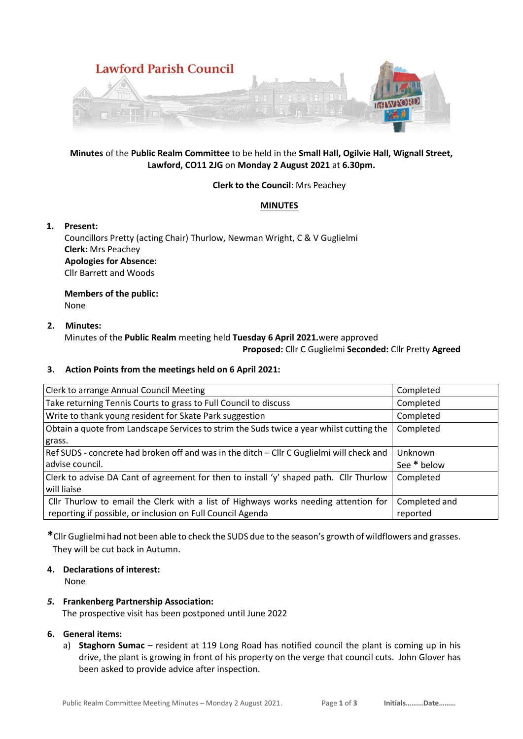

# **Minutes** of the **Public Realm Committee** to be held in the **Small Hall, Ogilvie Hall, Wignall Street, Lawford, CO11 2JG** on **Monday 2 August 2021** at **6.30pm.**

## **Clerk to the Council**: Mrs Peachey

# **MINUTES**

## **1. Present:**

Councillors Pretty (acting Chair) Thurlow, Newman Wright, C & V Guglielmi **Clerk:** Mrs Peachey **Apologies for Absence:**  Cllr Barrett and Woods

**Members of the public:** None

## **2. Minutes:**

Minutes of the **Public Realm** meeting held **Tuesday 6 April 2021.**were approved **Proposed:** Cllr C Guglielmi **Seconded:** Cllr Pretty **Agreed**

#### **3. Action Points from the meetings held on 6 April 2021:**

| <b>Clerk to arrange Annual Council Meeting</b>                                            | Completed     |
|-------------------------------------------------------------------------------------------|---------------|
| Take returning Tennis Courts to grass to Full Council to discuss                          | Completed     |
| Write to thank young resident for Skate Park suggestion                                   | Completed     |
| Obtain a quote from Landscape Services to strim the Suds twice a year whilst cutting the  | Completed     |
| grass.                                                                                    |               |
| Ref SUDS - concrete had broken off and was in the ditch - Cllr C Guglielmi will check and | Unknown       |
| advise council.                                                                           | See * below   |
| Clerk to advise DA Cant of agreement for then to install 'y' shaped path. Cllr Thurlow    | Completed     |
| will liaise                                                                               |               |
| Cllr Thurlow to email the Clerk with a list of Highways works needing attention for       | Completed and |
| reporting if possible, or inclusion on Full Council Agenda                                | reported      |

**\***Cllr Guglielmi had not been able to check the SUDS due to the season's growth of wildflowers and grasses. They will be cut back in Autumn.

# **4. Declarations of interest:**

None

#### *5.* **Frankenberg Partnership Association:** The prospective visit has been postponed until June 2022

#### **6. General items:**

a) **Staghorn Sumac** – resident at 119 Long Road has notified council the plant is coming up in his drive, the plant is growing in front of his property on the verge that council cuts. John Glover has been asked to provide advice after inspection.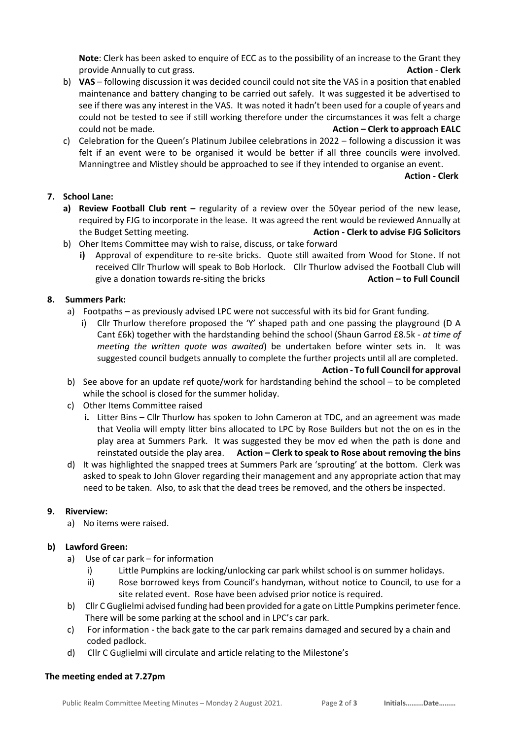**Note**: Clerk has been asked to enquire of ECC as to the possibility of an increase to the Grant they provide Annually to cut grass. **Action** - **Clerk**

- b) **VAS**  following discussion it was decided council could not site the VAS in a position that enabled maintenance and battery changing to be carried out safely. It was suggested it be advertised to see if there was any interest in the VAS. It was noted it hadn't been used for a couple of years and could not be tested to see if still working therefore under the circumstances it was felt a charge could not be made. **Action – Clerk to approach EALC**
- c) Celebration for the Queen's Platinum Jubilee celebrations in 2022 following a discussion it was felt if an event were to be organised it would be better if all three councils were involved. Manningtree and Mistley should be approached to see if they intended to organise an event.

**Action - Clerk**

## **7. School Lane:**

- **a)** Review Football Club rent regularity of a review over the 50year period of the new lease, required by FJG to incorporate in the lease. It was agreed the rent would be reviewed Annually at the Budget Setting meeting. **Action - Clerk to advise FJG Solicitors**
- b) Oher Items Committee may wish to raise, discuss, or take forward
	- **i)** Approval of expenditure to re-site bricks. Quote still awaited from Wood for Stone. If not received Cllr Thurlow will speak to Bob Horlock. Cllr Thurlow advised the Football Club will give a donation towards re-siting the bricks **Action – to Full Council**

## **8. Summers Park:**

- a) Footpaths as previously advised LPC were not successful with its bid for Grant funding.
	- i) Cllr Thurlow therefore proposed the 'Y' shaped path and one passing the playground (D A Cant £6k) together with the hardstanding behind the school (Shaun Garrod £8.5k - *at time of meeting the written quote was awaited*) be undertaken before winter sets in. It was suggested council budgets annually to complete the further projects until all are completed.

**Action - To full Council for approval**

- b) See above for an update ref quote/work for hardstanding behind the school to be completed while the school is closed for the summer holiday.
- c) Other Items Committee raised
	- **i.** Litter Bins Cllr Thurlow has spoken to John Cameron at TDC, and an agreement was made that Veolia will empty litter bins allocated to LPC by Rose Builders but not the on es in the play area at Summers Park. It was suggested they be mov ed when the path is done and reinstated outside the play area. **Action – Clerk to speak to Rose about removing the bins**
- d) It was highlighted the snapped trees at Summers Park are 'sprouting' at the bottom. Clerk was asked to speak to John Glover regarding their management and any appropriate action that may need to be taken. Also, to ask that the dead trees be removed, and the others be inspected.

#### **9. Riverview:**

a) No items were raised.

#### **b) Lawford Green:**

- a) Use of car park for information
	- i) Little Pumpkins are locking/unlocking car park whilst school is on summer holidays.
	- ii) Rose borrowed keys from Council's handyman, without notice to Council, to use for a site related event. Rose have been advised prior notice is required.
- b) Cllr C Guglielmi advised funding had been provided for a gate on Little Pumpkins perimeter fence. There will be some parking at the school and in LPC's car park.
- c) For information the back gate to the car park remains damaged and secured by a chain and coded padlock.
- d) Cllr C Guglielmi will circulate and article relating to the Milestone's

#### **The meeting ended at 7.27pm**